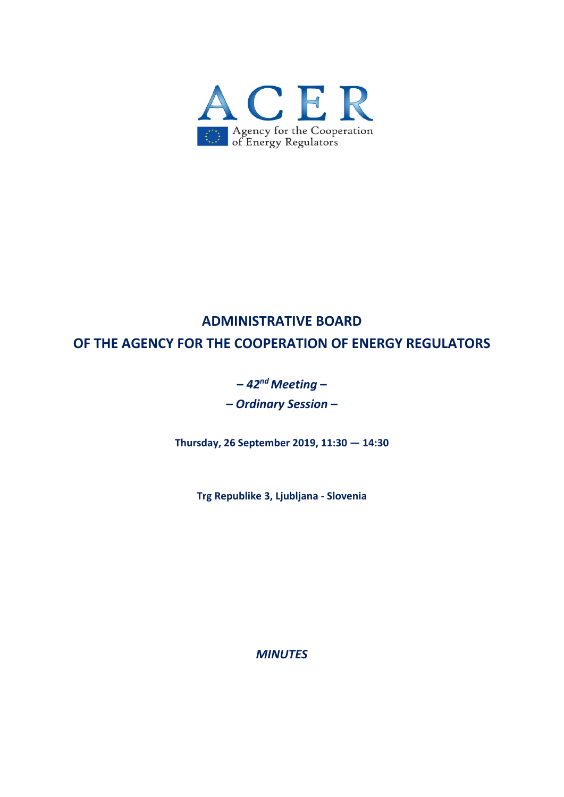

# **ADMINISTRATIVE BOARD OF THE AGENCY FOR THE COOPERATION OF ENERGY REGULATORS**

## **–** *42nd Meeting* **– –** *Ordinary Session* **–**

**Thursday, 26 September 2019, 11:30 — 14:30** 

**Trg Republike 3, Ljubljana ‐ Slovenia** 

*MINUTES*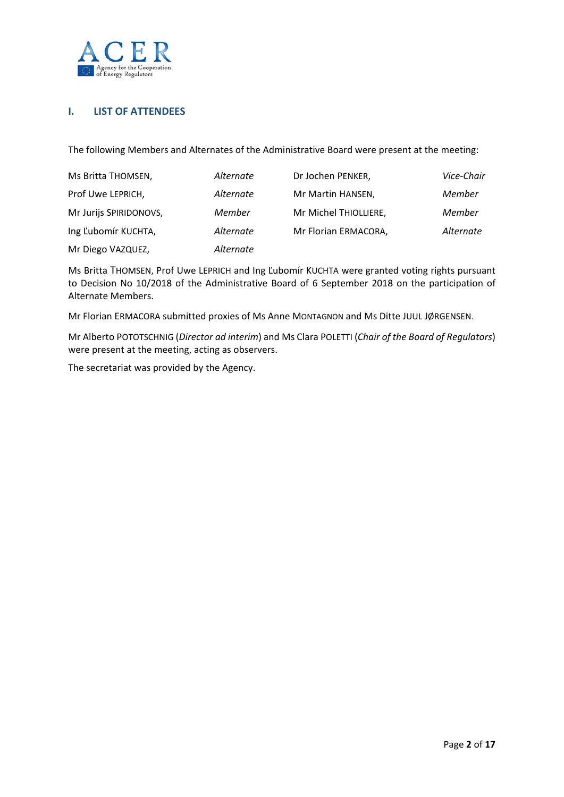

## **I. LIST OF ATTENDEES**

The following Members and Alternates of the Administrative Board were present at the meeting:

| Ms Britta THOMSEN,     | Alternate | Dr Jochen PENKER,     | Vice-Chair |
|------------------------|-----------|-----------------------|------------|
| Prof Uwe LEPRICH,      | Alternate | Mr Martin HANSEN,     | Member     |
| Mr Jurijs SPIRIDONOVS, | Member    | Mr Michel THIOLLIERE, | Member     |
| Ing Ľubomír KUCHTA,    | Alternate | Mr Florian ERMACORA,  | Alternate  |
| Mr Diego VAZQUEZ,      | Alternate |                       |            |

Ms Britta THOMSEN, Prof Uwe LEPRICH and Ing Ľubomír KUCHTA were granted voting rights pursuant to Decision No 10/2018 of the Administrative Board of 6 September 2018 on the participation of Alternate Members.

Mr Florian ERMACORA submitted proxies of Ms Anne MONTAGNON and Ms Ditte JUUL JØRGENSEN.

Mr Alberto POTOTSCHNIG (*Director ad interim*) and Ms Clara POLETTI (*Chair of the Board of Regulators*) were present at the meeting, acting as observers.

The secretariat was provided by the Agency.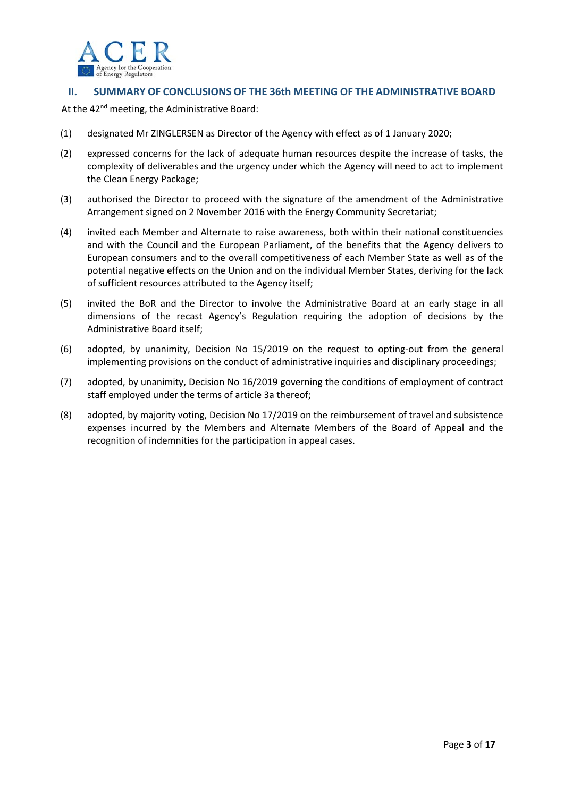

## **II. SUMMARY OF CONCLUSIONS OF THE 36th MEETING OF THE ADMINISTRATIVE BOARD**

At the 42<sup>nd</sup> meeting, the Administrative Board:

- (1) designated Mr ZINGLERSEN as Director of the Agency with effect as of 1 January 2020;
- (2) expressed concerns for the lack of adequate human resources despite the increase of tasks, the complexity of deliverables and the urgency under which the Agency will need to act to implement the Clean Energy Package;
- (3) authorised the Director to proceed with the signature of the amendment of the Administrative Arrangement signed on 2 November 2016 with the Energy Community Secretariat;
- (4) invited each Member and Alternate to raise awareness, both within their national constituencies and with the Council and the European Parliament, of the benefits that the Agency delivers to European consumers and to the overall competitiveness of each Member State as well as of the potential negative effects on the Union and on the individual Member States, deriving for the lack of sufficient resources attributed to the Agency itself;
- (5) invited the BoR and the Director to involve the Administrative Board at an early stage in all dimensions of the recast Agency's Regulation requiring the adoption of decisions by the Administrative Board itself;
- (6) adopted, by unanimity, Decision No 15/2019 on the request to opting‐out from the general implementing provisions on the conduct of administrative inquiries and disciplinary proceedings;
- (7) adopted, by unanimity, Decision No 16/2019 governing the conditions of employment of contract staff employed under the terms of article 3a thereof;
- (8) adopted, by majority voting, Decision No 17/2019 on the reimbursement of travel and subsistence expenses incurred by the Members and Alternate Members of the Board of Appeal and the recognition of indemnities for the participation in appeal cases.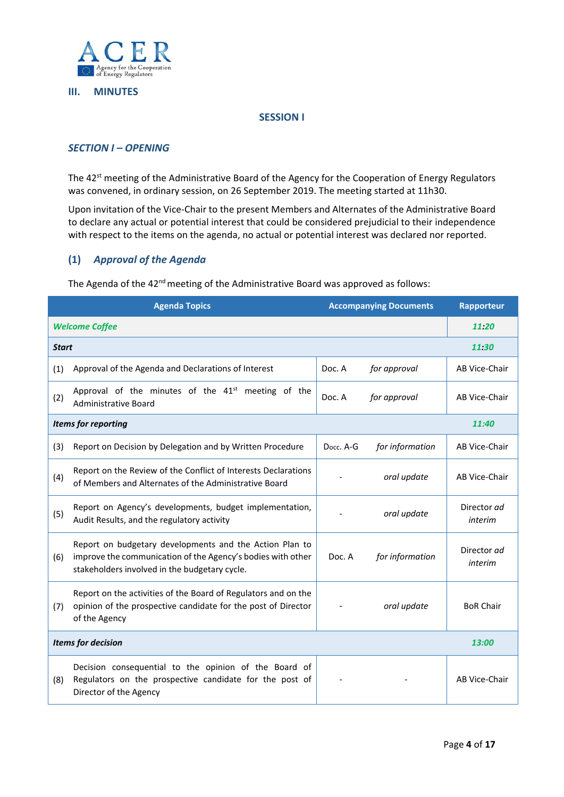

#### **III. MINUTES**

#### **SESSION I**

## *SECTION I – OPENING*

The 42<sup>st</sup> meeting of the Administrative Board of the Agency for the Cooperation of Energy Regulators was convened, in ordinary session, on 26 September 2019. The meeting started at 11h30.

Upon invitation of the Vice‐Chair to the present Members and Alternates of the Administrative Board to declare any actual or potential interest that could be considered prejudicial to their independence with respect to the items on the agenda, no actual or potential interest was declared nor reported.

#### **(1)** *Approval of the Agenda*

The Agenda of the 42<sup>nd</sup> meeting of the Administrative Board was approved as follows:

| <b>Agenda Topics</b>      |                                                                                                                                                                         | <b>Accompanying Documents</b> |                 | Rapporteur             |  |
|---------------------------|-------------------------------------------------------------------------------------------------------------------------------------------------------------------------|-------------------------------|-----------------|------------------------|--|
| <b>Welcome Coffee</b>     |                                                                                                                                                                         |                               |                 |                        |  |
| <b>Start</b>              |                                                                                                                                                                         |                               |                 |                        |  |
| (1)                       | Approval of the Agenda and Declarations of Interest                                                                                                                     | Doc. A                        | for approval    | AB Vice-Chair          |  |
| (2)                       | Approval of the minutes of the 41 <sup>st</sup> meeting of the<br><b>Administrative Board</b>                                                                           | Doc. A                        | for approval    | AB Vice-Chair          |  |
| Items for reporting       |                                                                                                                                                                         |                               |                 |                        |  |
| (3)                       | Report on Decision by Delegation and by Written Procedure                                                                                                               | Docc. A-G                     | for information | AB Vice-Chair          |  |
| (4)                       | Report on the Review of the Conflict of Interests Declarations<br>of Members and Alternates of the Administrative Board                                                 |                               | oral update     | AB Vice-Chair          |  |
| (5)                       | Report on Agency's developments, budget implementation,<br>Audit Results, and the regulatory activity                                                                   |                               | oral update     | Director ad<br>interim |  |
| (6)                       | Report on budgetary developments and the Action Plan to<br>improve the communication of the Agency's bodies with other<br>stakeholders involved in the budgetary cycle. | Doc. A                        | for information | Director ad<br>interim |  |
| (7)                       | Report on the activities of the Board of Regulators and on the<br>opinion of the prospective candidate for the post of Director<br>of the Agency                        |                               | oral update     | <b>BoR Chair</b>       |  |
| <b>Items for decision</b> |                                                                                                                                                                         |                               |                 | 13:00                  |  |
| (8)                       | Decision consequential to the opinion of the Board of<br>Regulators on the prospective candidate for the post of<br>Director of the Agency                              |                               |                 | AB Vice-Chair          |  |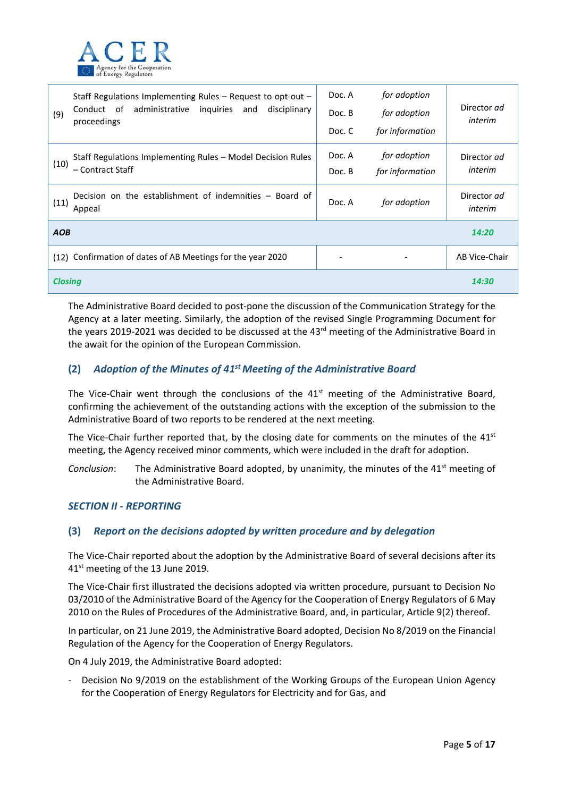

| Staff Regulations Implementing Rules $-$ Request to opt-out $-$<br>administrative inquiries<br>disciplinary<br>Conduct of<br>and<br>(9)<br>proceedings | Doc. A<br>Doc. B<br>Doc. C | for adoption<br>for adoption<br>for information | Director ad<br>interim |
|--------------------------------------------------------------------------------------------------------------------------------------------------------|----------------------------|-------------------------------------------------|------------------------|
| Staff Regulations Implementing Rules - Model Decision Rules<br>(10)<br>– Contract Staff                                                                | Doc. A<br>Doc. B           | for adoption<br>for information                 | Director ad<br>interim |
| Decision on the establishment of indemnities – Board of<br>(11)<br>Appeal                                                                              | Doc. A                     | for adoption                                    | Director ad<br>interim |
| <b>AOB</b>                                                                                                                                             |                            |                                                 | 14:20                  |
| (12) Confirmation of dates of AB Meetings for the year 2020                                                                                            | -                          |                                                 | AB Vice-Chair          |
| <b>Closing</b>                                                                                                                                         |                            |                                                 | 14:30                  |

The Administrative Board decided to post-pone the discussion of the Communication Strategy for the Agency at a later meeting. Similarly, the adoption of the revised Single Programming Document for the years 2019-2021 was decided to be discussed at the 43<sup>rd</sup> meeting of the Administrative Board in the await for the opinion of the European Commission.

## **(2)** *Adoption of the Minutes of 41st Meeting of the Administrative Board*

The Vice-Chair went through the conclusions of the  $41<sup>st</sup>$  meeting of the Administrative Board, confirming the achievement of the outstanding actions with the exception of the submission to the Administrative Board of two reports to be rendered at the next meeting.

The Vice-Chair further reported that, by the closing date for comments on the minutes of the  $41<sup>st</sup>$ meeting, the Agency received minor comments, which were included in the draft for adoption.

*Conclusion*: The Administrative Board adopted, by unanimity, the minutes of the 41<sup>st</sup> meeting of the Administrative Board.

#### *SECTION II ‐ REPORTING*

## **(3)** *Report on the decisions adopted by written procedure and by delegation*

The Vice-Chair reported about the adoption by the Administrative Board of several decisions after its 41<sup>st</sup> meeting of the 13 June 2019.

The Vice‐Chair first illustrated the decisions adopted via written procedure, pursuant to Decision No 03/2010 of the Administrative Board of the Agency for the Cooperation of Energy Regulators of 6 May 2010 on the Rules of Procedures of the Administrative Board, and, in particular, Article 9(2) thereof.

In particular, on 21 June 2019, the Administrative Board adopted, Decision No 8/2019 on the Financial Regulation of the Agency for the Cooperation of Energy Regulators.

On 4 July 2019, the Administrative Board adopted:

‐ Decision No 9/2019 on the establishment of the Working Groups of the European Union Agency for the Cooperation of Energy Regulators for Electricity and for Gas, and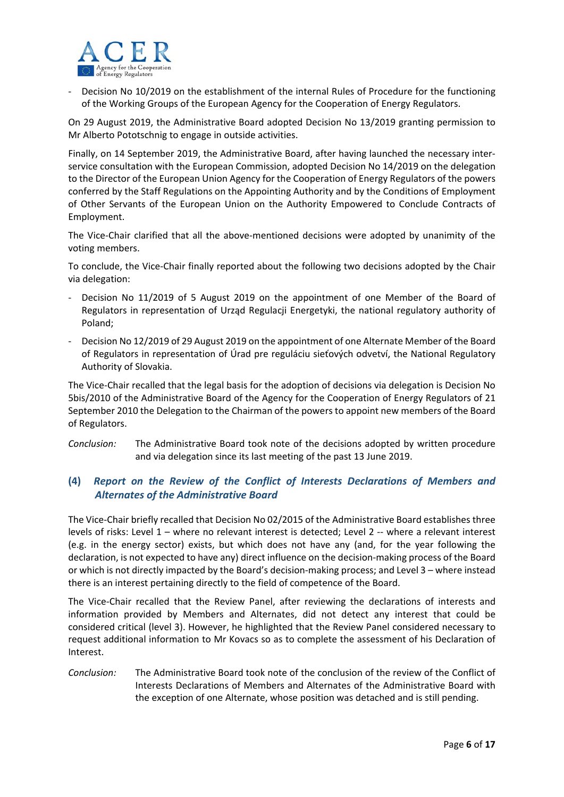

‐ Decision No 10/2019 on the establishment of the internal Rules of Procedure for the functioning of the Working Groups of the European Agency for the Cooperation of Energy Regulators.

On 29 August 2019, the Administrative Board adopted Decision No 13/2019 granting permission to Mr Alberto Pototschnig to engage in outside activities.

Finally, on 14 September 2019, the Administrative Board, after having launched the necessary inter‐ service consultation with the European Commission, adopted Decision No 14/2019 on the delegation to the Director of the European Union Agency for the Cooperation of Energy Regulators of the powers conferred by the Staff Regulations on the Appointing Authority and by the Conditions of Employment of Other Servants of the European Union on the Authority Empowered to Conclude Contracts of Employment.

The Vice-Chair clarified that all the above-mentioned decisions were adopted by unanimity of the voting members.

To conclude, the Vice‐Chair finally reported about the following two decisions adopted by the Chair via delegation:

- Decision No 11/2019 of 5 August 2019 on the appointment of one Member of the Board of Regulators in representation of Urząd Regulacji Energetyki, the national regulatory authority of Poland;
- ‐ Decision No 12/2019 of 29 August 2019 on the appointment of one Alternate Member of the Board of Regulators in representation of Úrad pre reguláciu sieťových odvetví, the National Regulatory Authority of Slovakia.

The Vice‐Chair recalled that the legal basis for the adoption of decisions via delegation is Decision No 5bis/2010 of the Administrative Board of the Agency for the Cooperation of Energy Regulators of 21 September 2010 the Delegation to the Chairman of the powers to appoint new members of the Board of Regulators.

*Conclusion:* The Administrative Board took note of the decisions adopted by written procedure and via delegation since its last meeting of the past 13 June 2019.

## **(4)** *Report on the Review of the Conflict of Interests Declarations of Members and Alternates of the Administrative Board*

The Vice‐Chair briefly recalled that Decision No 02/2015 of the Administrative Board establishes three levels of risks: Level 1 – where no relevant interest is detected; Level 2 -- where a relevant interest (e.g. in the energy sector) exists, but which does not have any (and, for the year following the declaration, is not expected to have any) direct influence on the decision‐making process of the Board or which is not directly impacted by the Board's decision‐making process; and Level 3 – where instead there is an interest pertaining directly to the field of competence of the Board.

The Vice-Chair recalled that the Review Panel, after reviewing the declarations of interests and information provided by Members and Alternates, did not detect any interest that could be considered critical (level 3). However, he highlighted that the Review Panel considered necessary to request additional information to Mr Kovacs so as to complete the assessment of his Declaration of Interest.

*Conclusion:* The Administrative Board took note of the conclusion of the review of the Conflict of Interests Declarations of Members and Alternates of the Administrative Board with the exception of one Alternate, whose position was detached and is still pending.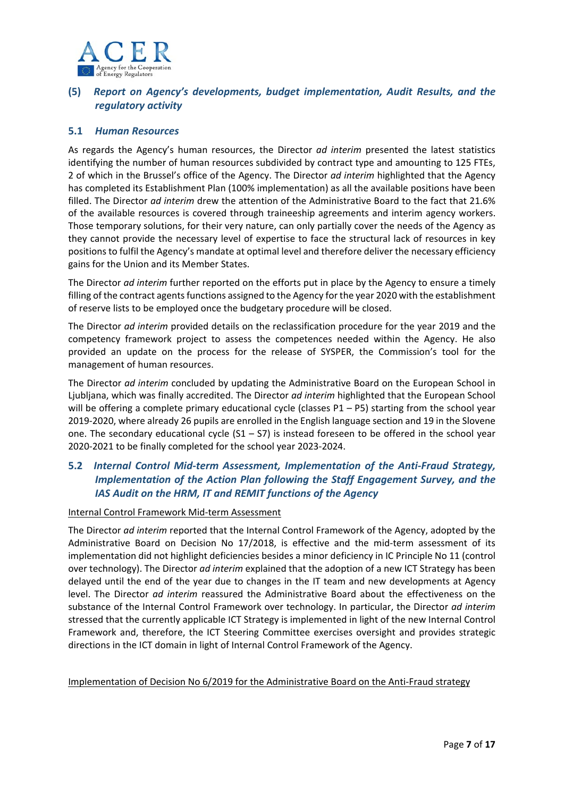

## **(5)** *Report on Agency's developments, budget implementation, Audit Results, and the regulatory activity*

## **5.1**  *Human Resources*

As regards the Agency's human resources, the Director ad interim presented the latest statistics identifying the number of human resources subdivided by contract type and amounting to 125 FTEs, 2 of which in the Brussel's office of the Agency. The Director *ad interim* highlighted that the Agency has completed its Establishment Plan (100% implementation) as all the available positions have been filled. The Director *ad interim* drew the attention of the Administrative Board to the fact that 21.6% of the available resources is covered through traineeship agreements and interim agency workers. Those temporary solutions, for their very nature, can only partially cover the needs of the Agency as they cannot provide the necessary level of expertise to face the structural lack of resources in key positions to fulfil the Agency's mandate at optimal level and therefore deliver the necessary efficiency gains for the Union and its Member States.

The Director *ad interim* further reported on the efforts put in place by the Agency to ensure a timely filling of the contract agents functions assigned to the Agency for the year 2020 with the establishment of reserve lists to be employed once the budgetary procedure will be closed.

The Director *ad interim* provided details on the reclassification procedure for the year 2019 and the competency framework project to assess the competences needed within the Agency. He also provided an update on the process for the release of SYSPER, the Commission's tool for the management of human resources.

The Director *ad interim* concluded by updating the Administrative Board on the European School in Ljubljana, which was finally accredited. The Director *ad interim* highlighted that the European School will be offering a complete primary educational cycle (classes P1 – P5) starting from the school year 2019‐2020, where already 26 pupils are enrolled in the English language section and 19 in the Slovene one. The secondary educational cycle  $(S1 - S7)$  is instead foreseen to be offered in the school year 2020‐2021 to be finally completed for the school year 2023‐2024.

## **5.2** *Internal Control Mid‐term Assessment, Implementation of the Anti‐Fraud Strategy, Implementation of the Action Plan following the Staff Engagement Survey, and the IAS Audit on the HRM, IT and REMIT functions of the Agency*

#### Internal Control Framework Mid‐term Assessment

The Director *ad interim* reported that the Internal Control Framework of the Agency, adopted by the Administrative Board on Decision No 17/2018, is effective and the mid-term assessment of its implementation did not highlight deficiencies besides a minor deficiency in IC Principle No 11 (control over technology). The Director *ad interim* explained that the adoption of a new ICT Strategy has been delayed until the end of the year due to changes in the IT team and new developments at Agency level. The Director *ad interim* reassured the Administrative Board about the effectiveness on the substance of the Internal Control Framework over technology. In particular, the Director *ad interim* stressed that the currently applicable ICT Strategy is implemented in light of the new Internal Control Framework and, therefore, the ICT Steering Committee exercises oversight and provides strategic directions in the ICT domain in light of Internal Control Framework of the Agency.

#### Implementation of Decision No 6/2019 for the Administrative Board on the Anti-Fraud strategy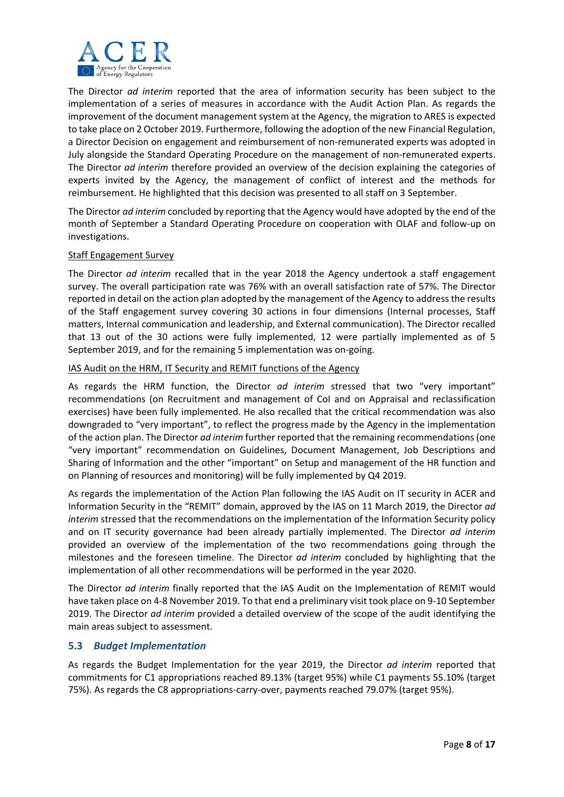

The Director *ad interim* reported that the area of information security has been subject to the implementation of a series of measures in accordance with the Audit Action Plan. As regards the improvement of the document management system at the Agency, the migration to ARES is expected to take place on 2 October 2019. Furthermore, following the adoption of the new Financial Regulation, a Director Decision on engagement and reimbursement of non‐remunerated experts was adopted in July alongside the Standard Operating Procedure on the management of non-remunerated experts. The Director *ad interim* therefore provided an overview of the decision explaining the categories of experts invited by the Agency, the management of conflict of interest and the methods for reimbursement. He highlighted that this decision was presented to all staff on 3 September.

The Director *ad interim* concluded by reporting that the Agency would have adopted by the end of the month of September a Standard Operating Procedure on cooperation with OLAF and follow‐up on investigations.

#### Staff Engagement Survey

The Director *ad interim* recalled that in the year 2018 the Agency undertook a staff engagement survey. The overall participation rate was 76% with an overall satisfaction rate of 57%. The Director reported in detail on the action plan adopted by the management of the Agency to address the results of the Staff engagement survey covering 30 actions in four dimensions (Internal processes, Staff matters, Internal communication and leadership, and External communication). The Director recalled that 13 out of the 30 actions were fully implemented, 12 were partially implemented as of 5 September 2019, and for the remaining 5 implementation was on‐going.

#### IAS Audit on the HRM, IT Security and REMIT functions of the Agency

As regards the HRM function, the Director *ad interim* stressed that two "very important" recommendations (on Recruitment and management of CoI and on Appraisal and reclassification exercises) have been fully implemented. He also recalled that the critical recommendation was also downgraded to "very important", to reflect the progress made by the Agency in the implementation of the action plan. The Director *ad interim* further reported that the remaining recommendations (one "very important" recommendation on Guidelines, Document Management, Job Descriptions and Sharing of Information and the other "important" on Setup and management of the HR function and on Planning of resources and monitoring) will be fully implemented by Q4 2019.

As regards the implementation of the Action Plan following the IAS Audit on IT security in ACER and Information Security in the "REMIT" domain, approved by the IAS on 11 March 2019, the Director *ad interim* stressed that the recommendations on the implementation of the Information Security policy and on IT security governance had been already partially implemented. The Director *ad interim* provided an overview of the implementation of the two recommendations going through the milestones and the foreseen timeline. The Director *ad interim* concluded by highlighting that the implementation of all other recommendations will be performed in the year 2020.

The Director *ad interim* finally reported that the IAS Audit on the Implementation of REMIT would have taken place on 4‐8 November 2019. To that end a preliminary visit took place on 9‐10 September 2019. The Director *ad interim* provided a detailed overview of the scope of the audit identifying the main areas subject to assessment.

#### **5.3** *Budget Implementation*

As regards the Budget Implementation for the year 2019, the Director *ad interim*  reported that commitments for C1 appropriations reached 89.13% (target 95%) while C1 payments 55.10% (target 75%). As regards the C8 appropriations‐carry‐over, payments reached 79.07% (target 95%).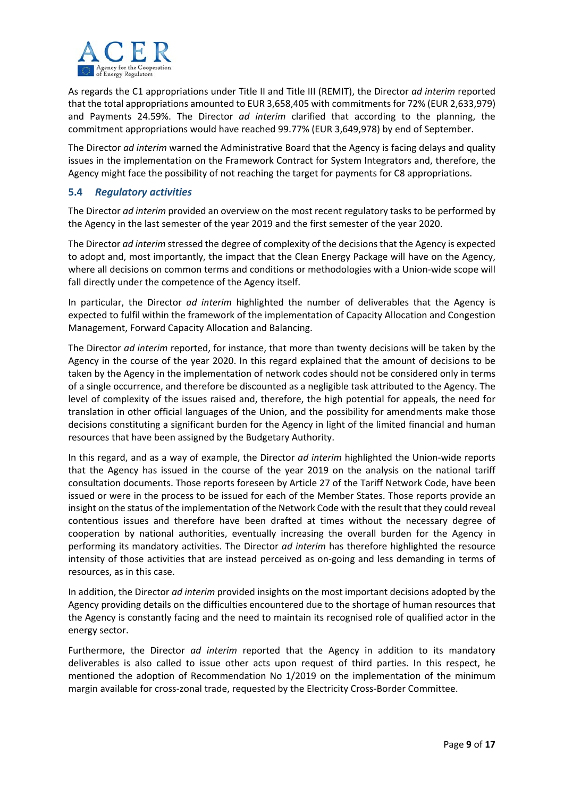

As regards the C1 appropriations under Title II and Title III (REMIT), the Director *ad interim* reported that the total appropriations amounted to EUR 3,658,405 with commitments for 72% (EUR 2,633,979) and Payments 24.59%. The Director *ad interim* clarified that according to the planning, the commitment appropriations would have reached 99.77% (EUR 3,649,978) by end of September.

The Director *ad interim* warned the Administrative Board that the Agency is facing delays and quality issues in the implementation on the Framework Contract for System Integrators and, therefore, the Agency might face the possibility of not reaching the target for payments for C8 appropriations.

## **5.4** *Regulatory activities*

The Director *ad interim* provided an overview on the most recent regulatory tasks to be performed by the Agency in the last semester of the year 2019 and the first semester of the year 2020.

The Director *ad interim* stressed the degree of complexity of the decisions that the Agency is expected to adopt and, most importantly, the impact that the Clean Energy Package will have on the Agency, where all decisions on common terms and conditions or methodologies with a Union-wide scope will fall directly under the competence of the Agency itself.

In particular, the Director *ad interim* highlighted the number of deliverables that the Agency is expected to fulfil within the framework of the implementation of Capacity Allocation and Congestion Management, Forward Capacity Allocation and Balancing.

The Director *ad interim* reported, for instance, that more than twenty decisions will be taken by the Agency in the course of the year 2020. In this regard explained that the amount of decisions to be taken by the Agency in the implementation of network codes should not be considered only in terms of a single occurrence, and therefore be discounted as a negligible task attributed to the Agency. The level of complexity of the issues raised and, therefore, the high potential for appeals, the need for translation in other official languages of the Union, and the possibility for amendments make those decisions constituting a significant burden for the Agency in light of the limited financial and human resources that have been assigned by the Budgetary Authority.

In this regard, and as a way of example, the Director *ad interim* highlighted the Union-wide reports that the Agency has issued in the course of the year 2019 on the analysis on the national tariff consultation documents. Those reports foreseen by Article 27 of the Tariff Network Code, have been issued or were in the process to be issued for each of the Member States. Those reports provide an insight on the status of the implementation of the Network Code with the result that they could reveal contentious issues and therefore have been drafted at times without the necessary degree of cooperation by national authorities, eventually increasing the overall burden for the Agency in performing its mandatory activities. The Director *ad interim* has therefore highlighted the resource intensity of those activities that are instead perceived as on‐going and less demanding in terms of resources, as in this case.

In addition, the Director *ad interim* provided insights on the most important decisions adopted by the Agency providing details on the difficulties encountered due to the shortage of human resources that the Agency is constantly facing and the need to maintain its recognised role of qualified actor in the energy sector.

Furthermore, the Director *ad interim* reported that the Agency in addition to its mandatory deliverables is also called to issue other acts upon request of third parties. In this respect, he mentioned the adoption of Recommendation No 1/2019 on the implementation of the minimum margin available for cross-zonal trade, requested by the Electricity Cross-Border Committee.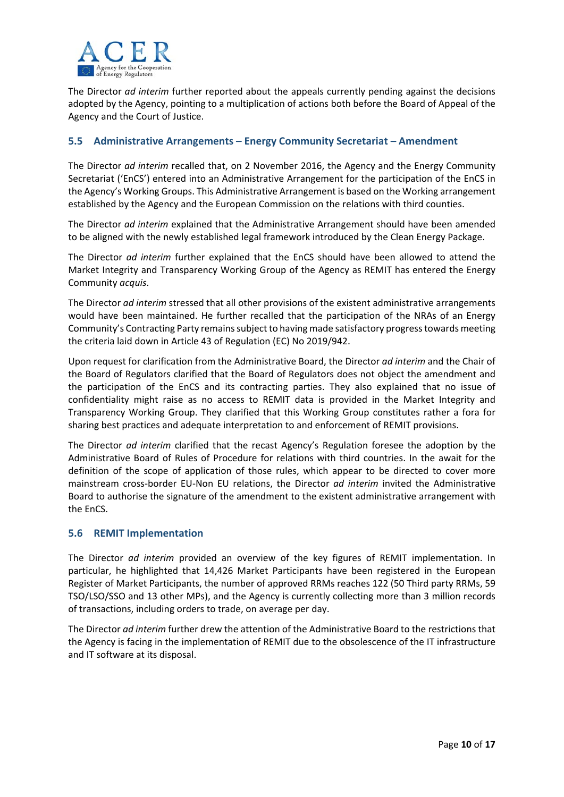

The Director *ad interim* further reported about the appeals currently pending against the decisions adopted by the Agency, pointing to a multiplication of actions both before the Board of Appeal of the Agency and the Court of Justice.

## **5.5 Administrative Arrangements – Energy Community Secretariat – Amendment**

The Director *ad interim* recalled that, on 2 November 2016, the Agency and the Energy Community Secretariat ('EnCS') entered into an Administrative Arrangement for the participation of the EnCS in the Agency's Working Groups. This Administrative Arrangement is based on the Working arrangement established by the Agency and the European Commission on the relations with third counties.

The Director *ad interim* explained that the Administrative Arrangement should have been amended to be aligned with the newly established legal framework introduced by the Clean Energy Package.

The Director *ad interim* further explained that the EnCS should have been allowed to attend the Market Integrity and Transparency Working Group of the Agency as REMIT has entered the Energy Community *acquis*.

The Director *ad interim* stressed that all other provisions of the existent administrative arrangements would have been maintained. He further recalled that the participation of the NRAs of an Energy Community's Contracting Party remains subject to having made satisfactory progress towards meeting the criteria laid down in Article 43 of Regulation (EC) No 2019/942.

Upon request for clarification from the Administrative Board, the Director *ad interim* and the Chair of the Board of Regulators clarified that the Board of Regulators does not object the amendment and the participation of the EnCS and its contracting parties. They also explained that no issue of confidentiality might raise as no access to REMIT data is provided in the Market Integrity and Transparency Working Group. They clarified that this Working Group constitutes rather a fora for sharing best practices and adequate interpretation to and enforcement of REMIT provisions.

The Director *ad interim* clarified that the recast Agency's Regulation foresee the adoption by the Administrative Board of Rules of Procedure for relations with third countries. In the await for the definition of the scope of application of those rules, which appear to be directed to cover more mainstream cross‐border EU‐Non EU relations, the Director *ad interim* invited the Administrative Board to authorise the signature of the amendment to the existent administrative arrangement with the EnCS.

#### **5.6 REMIT Implementation**

The Director *ad interim*  provided an overview of the key figures of REMIT implementation. In particular, he highlighted that 14,426 Market Participants have been registered in the European Register of Market Participants, the number of approved RRMs reaches 122 (50 Third party RRMs, 59 TSO/LSO/SSO and 13 other MPs), and the Agency is currently collecting more than 3 million records of transactions, including orders to trade, on average per day.

The Director *ad interim* further drew the attention of the Administrative Board to the restrictions that the Agency is facing in the implementation of REMIT due to the obsolescence of the IT infrastructure and IT software at its disposal.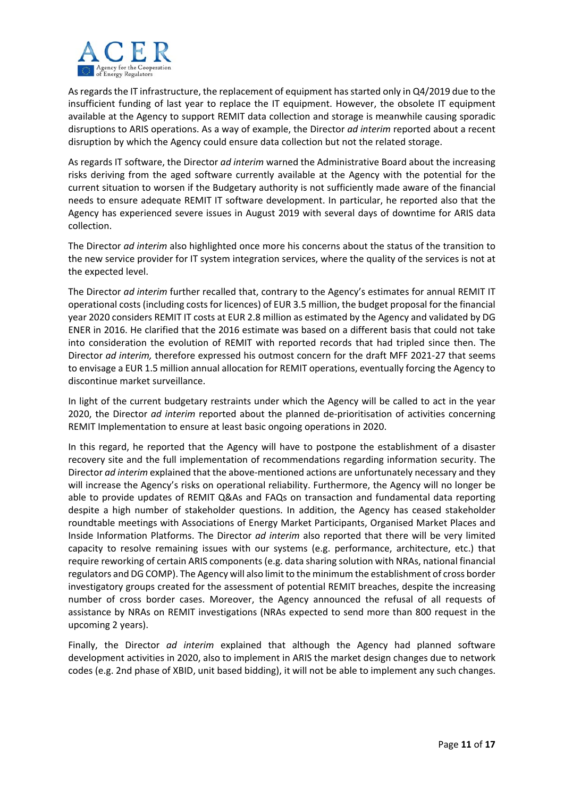

As regards the IT infrastructure, the replacement of equipment has started only in Q4/2019 due to the insufficient funding of last year to replace the IT equipment. However, the obsolete IT equipment available at the Agency to support REMIT data collection and storage is meanwhile causing sporadic disruptions to ARIS operations. As a way of example, the Director *ad interim* reported about a recent disruption by which the Agency could ensure data collection but not the related storage.

As regards IT software, the Director *ad interim* warned the Administrative Board about the increasing risks deriving from the aged software currently available at the Agency with the potential for the current situation to worsen if the Budgetary authority is not sufficiently made aware of the financial needs to ensure adequate REMIT IT software development. In particular, he reported also that the Agency has experienced severe issues in August 2019 with several days of downtime for ARIS data collection.

The Director *ad interim* also highlighted once more his concerns about the status of the transition to the new service provider for IT system integration services, where the quality of the services is not at the expected level.

The Director *ad interim* further recalled that, contrary to the Agency's estimates for annual REMIT IT operational costs (including costs for licences) of EUR 3.5 million, the budget proposal for the financial year 2020 considers REMIT IT costs at EUR 2.8 million as estimated by the Agency and validated by DG ENER in 2016. He clarified that the 2016 estimate was based on a different basis that could not take into consideration the evolution of REMIT with reported records that had tripled since then. The Director *ad interim,* therefore expressed his outmost concern for the draft MFF 2021-27 that seems to envisage a EUR 1.5 million annual allocation for REMIT operations, eventually forcing the Agency to discontinue market surveillance.

In light of the current budgetary restraints under which the Agency will be called to act in the year 2020, the Director *ad interim* reported about the planned de-prioritisation of activities concerning REMIT Implementation to ensure at least basic ongoing operations in 2020.

In this regard, he reported that the Agency will have to postpone the establishment of a disaster recovery site and the full implementation of recommendations regarding information security. The Director *ad interim* explained that the above‐mentioned actions are unfortunately necessary and they will increase the Agency's risks on operational reliability. Furthermore, the Agency will no longer be able to provide updates of REMIT Q&As and FAQs on transaction and fundamental data reporting despite a high number of stakeholder questions. In addition, the Agency has ceased stakeholder roundtable meetings with Associations of Energy Market Participants, Organised Market Places and Inside Information Platforms. The Director *ad interim* also reported that there will be very limited capacity to resolve remaining issues with our systems (e.g. performance, architecture, etc.) that require reworking of certain ARIS components (e.g. data sharing solution with NRAs, national financial regulators and DG COMP). The Agency will also limit to the minimum the establishment of cross border investigatory groups created for the assessment of potential REMIT breaches, despite the increasing number of cross border cases. Moreover, the Agency announced the refusal of all requests of assistance by NRAs on REMIT investigations (NRAs expected to send more than 800 request in the upcoming 2 years).

Finally, the Director *ad interim*  explained that although the Agency had planned software development activities in 2020, also to implement in ARIS the market design changes due to network codes (e.g. 2nd phase of XBID, unit based bidding), it will not be able to implement any such changes.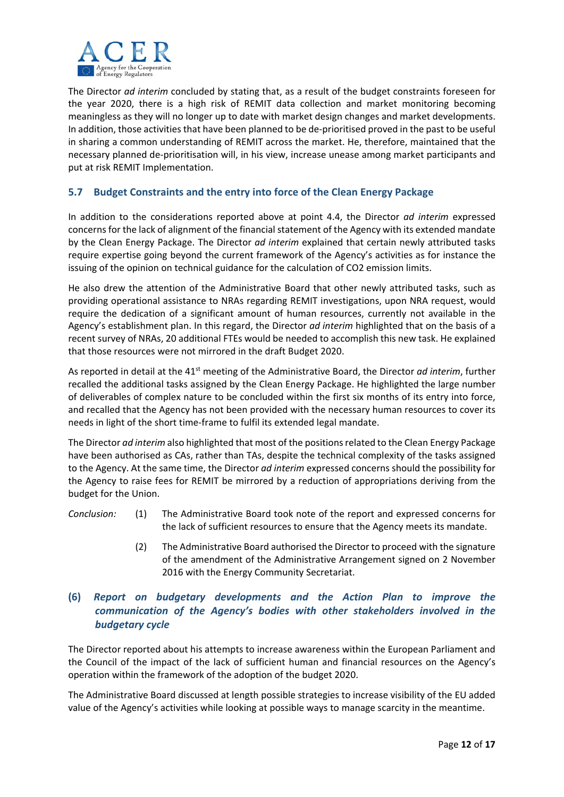

The Director *ad interim* concluded by stating that, as a result of the budget constraints foreseen for the year 2020, there is a high risk of REMIT data collection and market monitoring becoming meaningless as they will no longer up to date with market design changes and market developments. In addition, those activities that have been planned to be de‐prioritised proved in the past to be useful in sharing a common understanding of REMIT across the market. He, therefore, maintained that the necessary planned de‐prioritisation will, in his view, increase unease among market participants and put at risk REMIT Implementation.

## **5.7 Budget Constraints and the entry into force of the Clean Energy Package**

In addition to the considerations reported above at point 4.4, the Director *ad interim* expressed concerns for the lack of alignment of the financial statement of the Agency with its extended mandate by the Clean Energy Package. The Director *ad interim* explained that certain newly attributed tasks require expertise going beyond the current framework of the Agency's activities as for instance the issuing of the opinion on technical guidance for the calculation of CO2 emission limits.

He also drew the attention of the Administrative Board that other newly attributed tasks, such as providing operational assistance to NRAs regarding REMIT investigations, upon NRA request, would require the dedication of a significant amount of human resources, currently not available in the Agency's establishment plan. In this regard, the Director *ad interim* highlighted that on the basis of a recent survey of NRAs, 20 additional FTEs would be needed to accomplish this new task. He explained that those resources were not mirrored in the draft Budget 2020.

As reported in detail at the 41<sup>st</sup> meeting of the Administrative Board, the Director *ad interim*, further recalled the additional tasks assigned by the Clean Energy Package. He highlighted the large number of deliverables of complex nature to be concluded within the first six months of its entry into force, and recalled that the Agency has not been provided with the necessary human resources to cover its needs in light of the short time‐frame to fulfil its extended legal mandate.

The Director *ad interim* also highlighted that most of the positions related to the Clean Energy Package have been authorised as CAs, rather than TAs, despite the technical complexity of the tasks assigned to the Agency. At the same time, the Director *ad interim* expressed concerns should the possibility for the Agency to raise fees for REMIT be mirrored by a reduction of appropriations deriving from the budget for the Union.

- *Conclusion:* (1) The Administrative Board took note of the report and expressed concerns for the lack of sufficient resources to ensure that the Agency meets its mandate.
	- (2) The Administrative Board authorised the Director to proceed with the signature of the amendment of the Administrative Arrangement signed on 2 November 2016 with the Energy Community Secretariat.

## **(6)** *Report on budgetary developments and the Action Plan to improve the communication of the Agency's bodies with other stakeholders involved in the budgetary cycle*

The Director reported about his attempts to increase awareness within the European Parliament and the Council of the impact of the lack of sufficient human and financial resources on the Agency's operation within the framework of the adoption of the budget 2020.

The Administrative Board discussed at length possible strategies to increase visibility of the EU added value of the Agency's activities while looking at possible ways to manage scarcity in the meantime.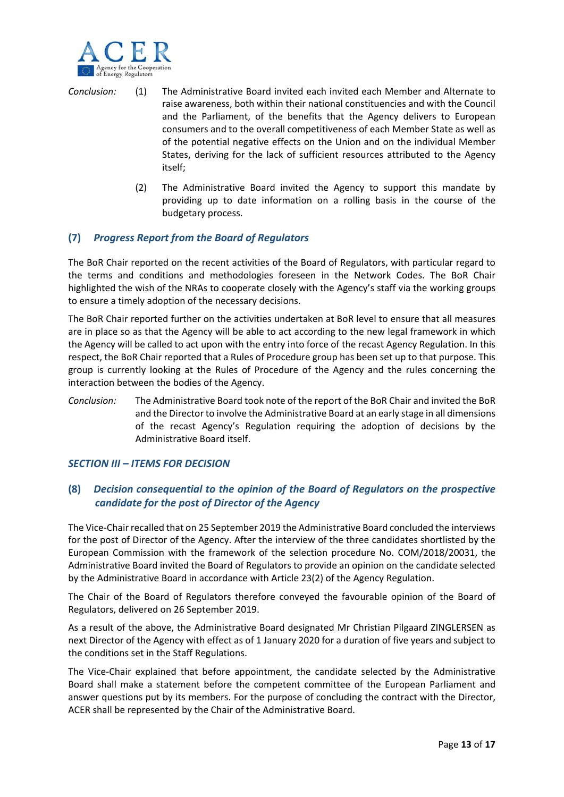

- *Conclusion:* (1) The Administrative Board invited each invited each Member and Alternate to raise awareness, both within their national constituencies and with the Council and the Parliament, of the benefits that the Agency delivers to European consumers and to the overall competitiveness of each Member State as well as of the potential negative effects on the Union and on the individual Member States, deriving for the lack of sufficient resources attributed to the Agency itself;
	- (2) The Administrative Board invited the Agency to support this mandate by providing up to date information on a rolling basis in the course of the budgetary process.

## **(7)** *Progress Report from the Board of Regulators*

The BoR Chair reported on the recent activities of the Board of Regulators, with particular regard to the terms and conditions and methodologies foreseen in the Network Codes. The BoR Chair highlighted the wish of the NRAs to cooperate closely with the Agency's staff via the working groups to ensure a timely adoption of the necessary decisions.

The BoR Chair reported further on the activities undertaken at BoR level to ensure that all measures are in place so as that the Agency will be able to act according to the new legal framework in which the Agency will be called to act upon with the entry into force of the recast Agency Regulation. In this respect, the BoR Chair reported that a Rules of Procedure group has been set up to that purpose. This group is currently looking at the Rules of Procedure of the Agency and the rules concerning the interaction between the bodies of the Agency.

*Conclusion:* The Administrative Board took note of the report of the BoR Chair and invited the BoR and the Director to involve the Administrative Board at an early stage in all dimensions of the recast Agency's Regulation requiring the adoption of decisions by the Administrative Board itself.

#### *SECTION III – ITEMS FOR DECISION*

## **(8)** *Decision consequential to the opinion of the Board of Regulators on the prospective candidate for the post of Director of the Agency*

The Vice‐Chair recalled that on 25 September 2019 the Administrative Board concluded the interviews for the post of Director of the Agency. After the interview of the three candidates shortlisted by the European Commission with the framework of the selection procedure No. COM/2018/20031, the Administrative Board invited the Board of Regulators to provide an opinion on the candidate selected by the Administrative Board in accordance with Article 23(2) of the Agency Regulation.

The Chair of the Board of Regulators therefore conveyed the favourable opinion of the Board of Regulators, delivered on 26 September 2019.

As a result of the above, the Administrative Board designated Mr Christian Pilgaard ZINGLERSEN as next Director of the Agency with effect as of 1 January 2020 for a duration of five years and subject to the conditions set in the Staff Regulations.

The Vice-Chair explained that before appointment, the candidate selected by the Administrative Board shall make a statement before the competent committee of the European Parliament and answer questions put by its members. For the purpose of concluding the contract with the Director, ACER shall be represented by the Chair of the Administrative Board.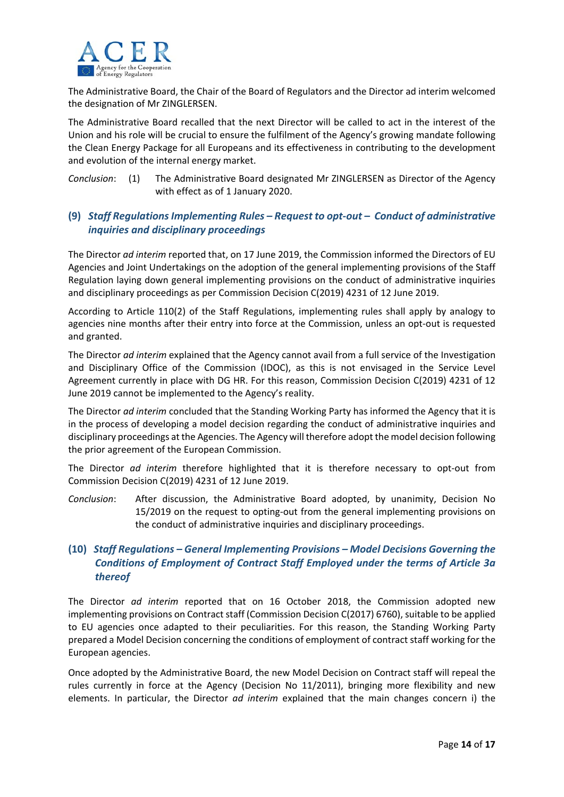

The Administrative Board, the Chair of the Board of Regulators and the Director ad interim welcomed the designation of Mr ZINGLERSEN.

The Administrative Board recalled that the next Director will be called to act in the interest of the Union and his role will be crucial to ensure the fulfilment of the Agency's growing mandate following the Clean Energy Package for all Europeans and its effectiveness in contributing to the development and evolution of the internal energy market.

*Conclusion*: (1) The Administrative Board designated Mr ZINGLERSEN as Director of the Agency with effect as of 1 January 2020.

## **(9)** *Staff Regulations Implementing Rules – Request to opt‐out – Conduct of administrative inquiries and disciplinary proceedings*

The Director *ad interim* reported that, on 17 June 2019, the Commission informed the Directors of EU Agencies and Joint Undertakings on the adoption of the general implementing provisions of the Staff Regulation laying down general implementing provisions on the conduct of administrative inquiries and disciplinary proceedings as per Commission Decision C(2019) 4231 of 12 June 2019.

According to Article 110(2) of the Staff Regulations, implementing rules shall apply by analogy to agencies nine months after their entry into force at the Commission, unless an opt-out is requested and granted.

The Director *ad interim* explained that the Agency cannot avail from a full service of the Investigation and Disciplinary Office of the Commission (IDOC), as this is not envisaged in the Service Level Agreement currently in place with DG HR. For this reason, Commission Decision C(2019) 4231 of 12 June 2019 cannot be implemented to the Agency's reality.

The Director *ad interim* concluded that the Standing Working Party has informed the Agency that it is in the process of developing a model decision regarding the conduct of administrative inquiries and disciplinary proceedings at the Agencies. The Agency will therefore adopt the model decision following the prior agreement of the European Commission.

The Director *ad interim* therefore highlighted that it is therefore necessary to opt-out from Commission Decision C(2019) 4231 of 12 June 2019.

*Conclusion*: After discussion, the Administrative Board adopted, by unanimity, Decision No 15/2019 on the request to opting‐out from the general implementing provisions on the conduct of administrative inquiries and disciplinary proceedings.

## **(10)** *Staff Regulations – General Implementing Provisions – Model Decisions Governing the Conditions of Employment of Contract Staff Employed under the terms of Article 3a thereof*

The Director *ad interim* reported that on 16 October 2018, the Commission adopted new implementing provisions on Contract staff (Commission Decision C(2017) 6760), suitable to be applied to EU agencies once adapted to their peculiarities. For this reason, the Standing Working Party prepared a Model Decision concerning the conditions of employment of contract staff working for the European agencies.

Once adopted by the Administrative Board, the new Model Decision on Contract staff will repeal the rules currently in force at the Agency (Decision No 11/2011), bringing more flexibility and new elements. In particular, the Director *ad interim* explained that the main changes concern i) the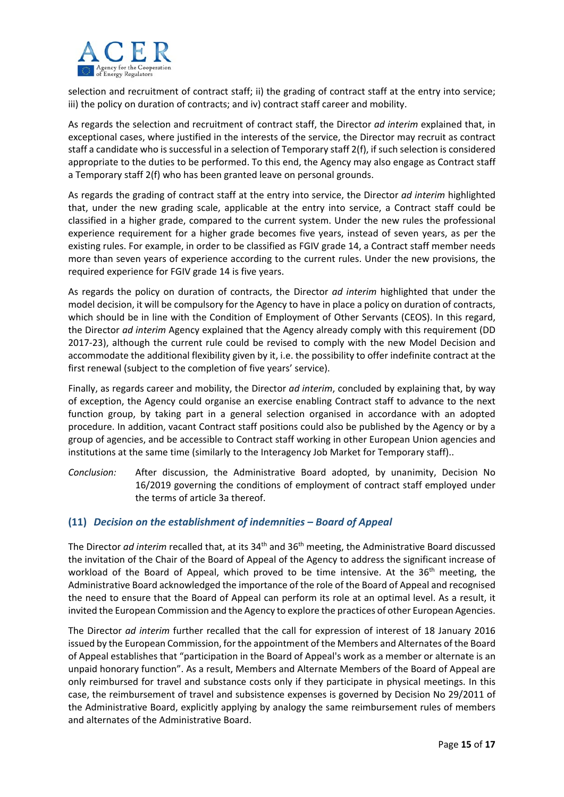

selection and recruitment of contract staff; ii) the grading of contract staff at the entry into service; iii) the policy on duration of contracts; and iv) contract staff career and mobility.

As regards the selection and recruitment of contract staff, the Director *ad interim* explained that, in exceptional cases, where justified in the interests of the service, the Director may recruit as contract staff a candidate who is successful in a selection of Temporary staff 2(f), if such selection is considered appropriate to the duties to be performed. To this end, the Agency may also engage as Contract staff a Temporary staff 2(f) who has been granted leave on personal grounds.

As regards the grading of contract staff at the entry into service, the Director *ad interim* highlighted that, under the new grading scale, applicable at the entry into service, a Contract staff could be classified in a higher grade, compared to the current system. Under the new rules the professional experience requirement for a higher grade becomes five years, instead of seven years, as per the existing rules. For example, in order to be classified as FGIV grade 14, a Contract staff member needs more than seven years of experience according to the current rules. Under the new provisions, the required experience for FGIV grade 14 is five years.

As regards the policy on duration of contracts, the Director *ad interim* highlighted that under the model decision, it will be compulsory for the Agency to have in place a policy on duration of contracts, which should be in line with the Condition of Employment of Other Servants (CEOS). In this regard, the Director *ad interim* Agency explained that the Agency already comply with this requirement (DD 2017‐23), although the current rule could be revised to comply with the new Model Decision and accommodate the additional flexibility given by it, i.e. the possibility to offer indefinite contract at the first renewal (subject to the completion of five years' service).

Finally, as regards career and mobility, the Director *ad interim*, concluded by explaining that, by way of exception, the Agency could organise an exercise enabling Contract staff to advance to the next function group, by taking part in a general selection organised in accordance with an adopted procedure. In addition, vacant Contract staff positions could also be published by the Agency or by a group of agencies, and be accessible to Contract staff working in other European Union agencies and institutions at the same time (similarly to the Interagency Job Market for Temporary staff)..

*Conclusion:*  After discussion, the Administrative Board adopted, by unanimity, Decision No 16/2019 governing the conditions of employment of contract staff employed under the terms of article 3a thereof.

## **(11)** *Decision on the establishment of indemnities – Board of Appeal*

The Director *ad interim* recalled that, at its 34<sup>th</sup> and 36<sup>th</sup> meeting, the Administrative Board discussed the invitation of the Chair of the Board of Appeal of the Agency to address the significant increase of workload of the Board of Appeal, which proved to be time intensive. At the 36<sup>th</sup> meeting, the Administrative Board acknowledged the importance of the role of the Board of Appeal and recognised the need to ensure that the Board of Appeal can perform its role at an optimal level. As a result, it invited the European Commission and the Agency to explore the practices of other European Agencies.

The Director *ad interim* further recalled that the call for expression of interest of 18 January 2016 issued by the European Commission, for the appointment of the Members and Alternates of the Board of Appeal establishes that "participation in the Board of Appeal's work as a member or alternate is an unpaid honorary function". As a result, Members and Alternate Members of the Board of Appeal are only reimbursed for travel and substance costs only if they participate in physical meetings. In this case, the reimbursement of travel and subsistence expenses is governed by Decision No 29/2011 of the Administrative Board, explicitly applying by analogy the same reimbursement rules of members and alternates of the Administrative Board.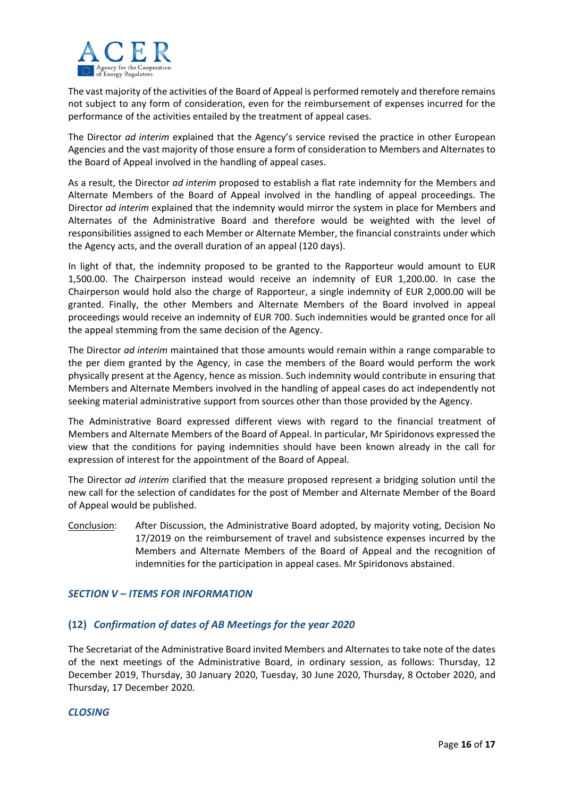

The vast majority of the activities of the Board of Appeal is performed remotely and therefore remains not subject to any form of consideration, even for the reimbursement of expenses incurred for the performance of the activities entailed by the treatment of appeal cases.

The Director *ad interim* explained that the Agency's service revised the practice in other European Agencies and the vast majority of those ensure a form of consideration to Members and Alternates to the Board of Appeal involved in the handling of appeal cases.

As a result, the Director *ad interim* proposed to establish a flat rate indemnity for the Members and Alternate Members of the Board of Appeal involved in the handling of appeal proceedings. The Director *ad interim* explained that the indemnity would mirror the system in place for Members and Alternates of the Administrative Board and therefore would be weighted with the level of responsibilities assigned to each Member or Alternate Member, the financial constraints under which the Agency acts, and the overall duration of an appeal (120 days).

In light of that, the indemnity proposed to be granted to the Rapporteur would amount to EUR 1,500.00. The Chairperson instead would receive an indemnity of EUR 1,200.00. In case the Chairperson would hold also the charge of Rapporteur, a single indemnity of EUR 2,000.00 will be granted. Finally, the other Members and Alternate Members of the Board involved in appeal proceedings would receive an indemnity of EUR 700. Such indemnities would be granted once for all the appeal stemming from the same decision of the Agency.

The Director *ad interim* maintained that those amounts would remain within a range comparable to the per diem granted by the Agency, in case the members of the Board would perform the work physically present at the Agency, hence as mission. Such indemnity would contribute in ensuring that Members and Alternate Members involved in the handling of appeal cases do act independently not seeking material administrative support from sources other than those provided by the Agency.

The Administrative Board expressed different views with regard to the financial treatment of Members and Alternate Members of the Board of Appeal. In particular, Mr Spiridonovs expressed the view that the conditions for paying indemnities should have been known already in the call for expression of interest for the appointment of the Board of Appeal.

The Director *ad interim* clarified that the measure proposed represent a bridging solution until the new call for the selection of candidates for the post of Member and Alternate Member of the Board of Appeal would be published.

Conclusion: After Discussion, the Administrative Board adopted, by majority voting, Decision No 17/2019 on the reimbursement of travel and subsistence expenses incurred by the Members and Alternate Members of the Board of Appeal and the recognition of indemnities for the participation in appeal cases. Mr Spiridonovs abstained.

## *SECTION V – ITEMS FOR INFORMATION*

## **(12)** *Confirmation of dates of AB Meetings for the year 2020*

The Secretariat of the Administrative Board invited Members and Alternates to take note of the dates of the next meetings of the Administrative Board, in ordinary session, as follows: Thursday, 12 December 2019, Thursday, 30 January 2020, Tuesday, 30 June 2020, Thursday, 8 October 2020, and Thursday, 17 December 2020.

## *CLOSING*